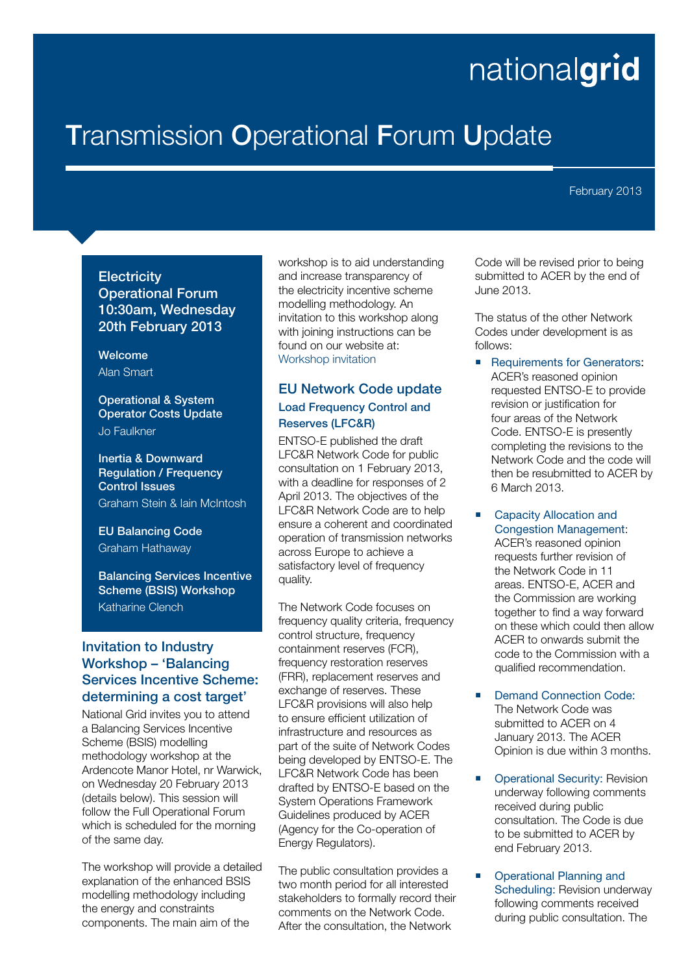# nationalgrid

## **T**ransmission **O**perational **F**orum **U**pdate

February 2013

#### **Electricity**

**Operational Forum 10:30am, Wednesday 20th February 2013** 

**Welcome**  Alan Smart

#### **Operational & System Operator Costs Update** Jo Faulkner

**Inertia & Downward Regulation / Frequency Control Issues** Graham Stein & Iain McIntosh

**EU Balancing Code**  Graham Hathaway

**Balancing Services Incentive Scheme (BSIS) Workshop** Katharine Clench

#### **Invitation to Industry Workshop – 'Balancing Services Incentive Scheme: determining a cost target'**

National Grid invites you to attend a Balancing Services Incentive Scheme (BSIS) modelling methodology workshop at the Ardencote Manor Hotel, nr Warwick, on Wednesday 20 February 2013 (details below). This session will follow the Full Operational Forum which is scheduled for the morning of the same day.

The workshop will provide a detailed explanation of the enhanced BSIS modelling methodology including the energy and constraints components. The main aim of the

workshop is to aid understanding and increase transparency of the electricity incentive scheme modelling methodology. An invitation to this workshop along with joining instructions can be found on our website at: Workshop invitation

#### **EU Network Code update Load Frequency Control and Reserves (LFC&R)**

ENTSO-E published the draft LFC&R Network Code for public consultation on 1 February 2013, with a deadline for responses of 2 April 2013. The objectives of the LFC&R Network Code are to help ensure a coherent and coordinated operation of transmission networks across Europe to achieve a satisfactory level of frequency quality.

The Network Code focuses on frequency quality criteria, frequency control structure, frequency containment reserves (FCR), frequency restoration reserves (FRR), replacement reserves and exchange of reserves. These LFC&R provisions will also help to ensure efficient utilization of infrastructure and resources as part of the suite of Network Codes being developed by ENTSO-E. The LFC&R Network Code has been drafted by ENTSO-E based on the System Operations Framework Guidelines produced by ACER (Agency for the Co-operation of Energy Regulators).

The public consultation provides a two month period for all interested stakeholders to formally record their comments on the Network Code. After the consultation, the Network

Code will be revised prior to being submitted to ACER by the end of June 2013.

The status of the other Network Codes under development is as follows:

 Requirements for Generators: ACER's reasoned opinion requested ENTSO-E to provide revision or justification for four areas of the Network Code. ENTSO-E is presently completing the revisions to the Network Code and the code will then be resubmitted to ACER by 6 March 2013.

■ Capacity Allocation and Congestion Management:

ACER's reasoned opinion requests further revision of the Network Code in 11 areas. ENTSO-E, ACER and the Commission are working together to find a way forward on these which could then allow ACER to onwards submit the code to the Commission with a qualified recommendation.

- Demand Connection Code: The Network Code was submitted to ACER on 4 January 2013. The ACER Opinion is due within 3 months.
- Operational Security: Revision underway following comments received during public consultation. The Code is due to be submitted to ACER by end February 2013.
- **•** Operational Planning and Scheduling: Revision underway following comments received during public consultation. The